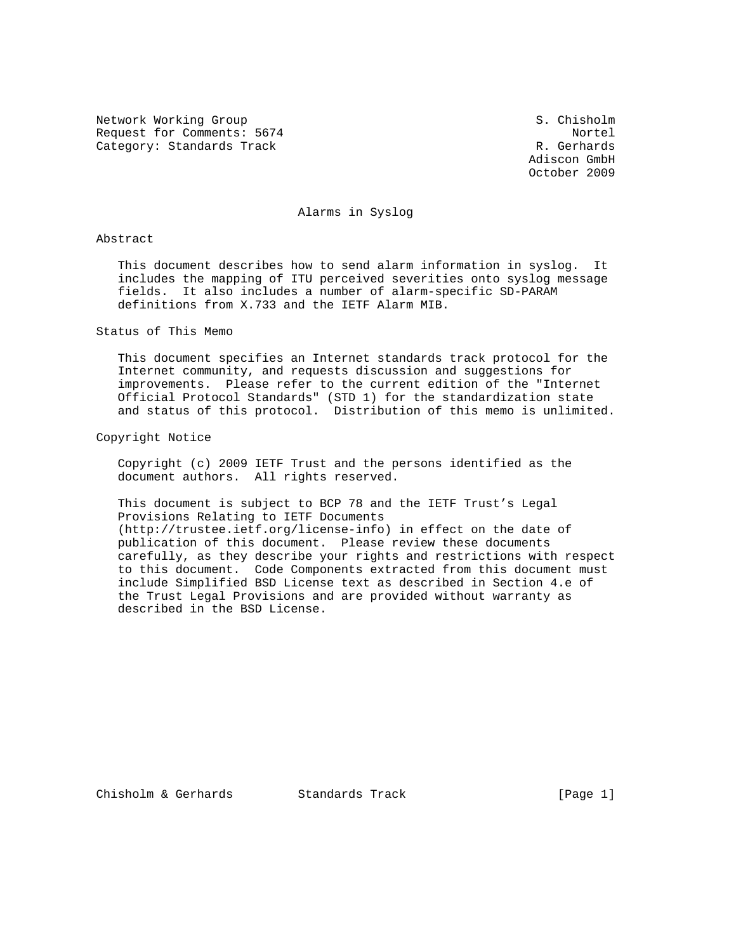Network Working Group S. Chisholm Request for Comments: 5674 Nortel Category: Standards Track R. Gerhards

 Adiscon GmbH October 2009

### Alarms in Syslog

#### Abstract

 This document describes how to send alarm information in syslog. It includes the mapping of ITU perceived severities onto syslog message fields. It also includes a number of alarm-specific SD-PARAM definitions from X.733 and the IETF Alarm MIB.

### Status of This Memo

 This document specifies an Internet standards track protocol for the Internet community, and requests discussion and suggestions for improvements. Please refer to the current edition of the "Internet Official Protocol Standards" (STD 1) for the standardization state and status of this protocol. Distribution of this memo is unlimited.

### Copyright Notice

 Copyright (c) 2009 IETF Trust and the persons identified as the document authors. All rights reserved.

 This document is subject to BCP 78 and the IETF Trust's Legal Provisions Relating to IETF Documents (http://trustee.ietf.org/license-info) in effect on the date of publication of this document. Please review these documents carefully, as they describe your rights and restrictions with respect to this document. Code Components extracted from this document must include Simplified BSD License text as described in Section 4.e of the Trust Legal Provisions and are provided without warranty as described in the BSD License.

Chisholm & Gerhards Standards Track [Page 1]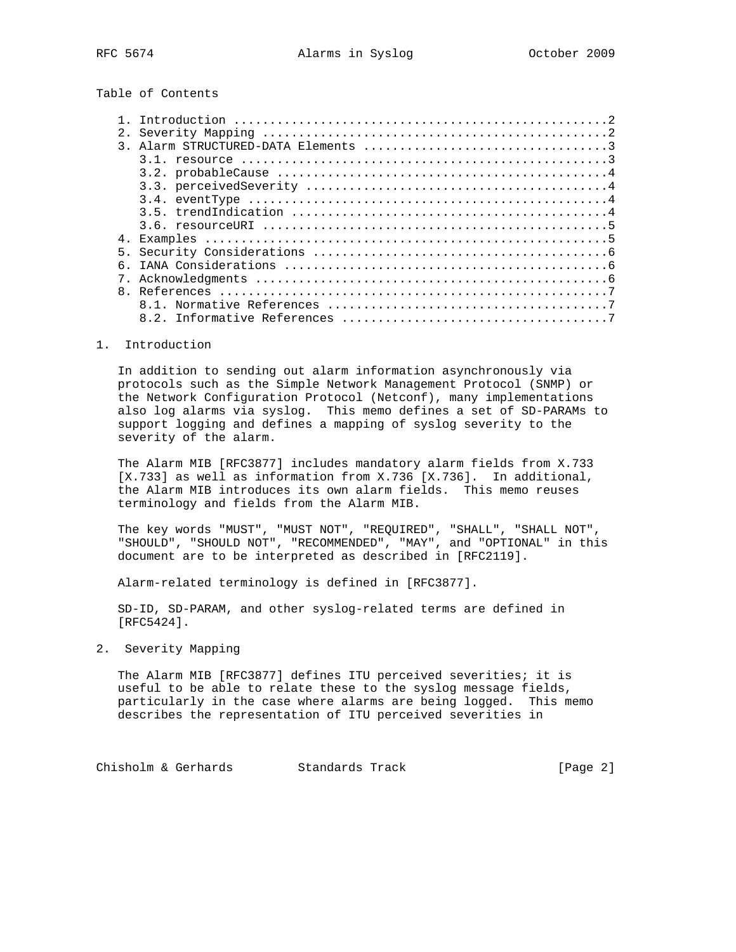# Table of Contents

| $\mathsf{R}$ |  |
|--------------|--|
|              |  |
|              |  |
|              |  |

### 1. Introduction

 In addition to sending out alarm information asynchronously via protocols such as the Simple Network Management Protocol (SNMP) or the Network Configuration Protocol (Netconf), many implementations also log alarms via syslog. This memo defines a set of SD-PARAMs to support logging and defines a mapping of syslog severity to the severity of the alarm.

 The Alarm MIB [RFC3877] includes mandatory alarm fields from X.733 [X.733] as well as information from X.736 [X.736]. In additional, the Alarm MIB introduces its own alarm fields. This memo reuses terminology and fields from the Alarm MIB.

 The key words "MUST", "MUST NOT", "REQUIRED", "SHALL", "SHALL NOT", "SHOULD", "SHOULD NOT", "RECOMMENDED", "MAY", and "OPTIONAL" in this document are to be interpreted as described in [RFC2119].

Alarm-related terminology is defined in [RFC3877].

 SD-ID, SD-PARAM, and other syslog-related terms are defined in [RFC5424].

### 2. Severity Mapping

 The Alarm MIB [RFC3877] defines ITU perceived severities; it is useful to be able to relate these to the syslog message fields, particularly in the case where alarms are being logged. This memo describes the representation of ITU perceived severities in

Chisholm & Gerhards Standards Track [Page 2]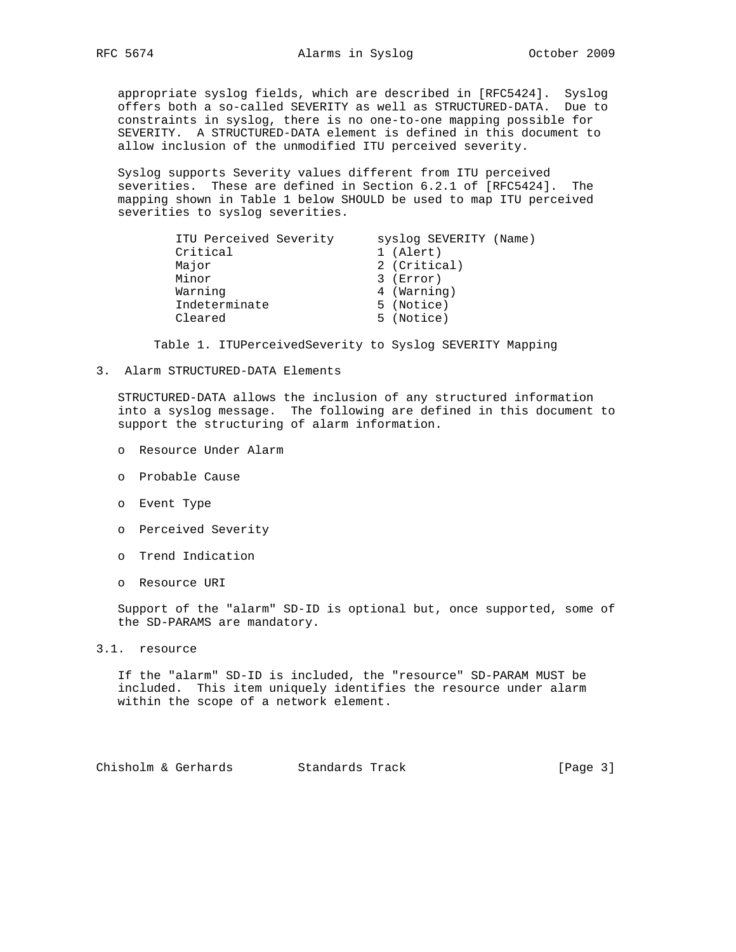appropriate syslog fields, which are described in [RFC5424]. Syslog offers both a so-called SEVERITY as well as STRUCTURED-DATA. Due to constraints in syslog, there is no one-to-one mapping possible for SEVERITY. A STRUCTURED-DATA element is defined in this document to allow inclusion of the unmodified ITU perceived severity.

 Syslog supports Severity values different from ITU perceived severities. These are defined in Section 6.2.1 of [RFC5424]. The mapping shown in Table 1 below SHOULD be used to map ITU perceived severities to syslog severities.

| ITU Perceived Severity | syslog SEVERITY (Name) |
|------------------------|------------------------|
| Critical               | 1 (Alert)              |
| Major                  | 2 (Critical)           |
| Minor                  | $3$ (Error)            |
| Warning                | 4 (Warning)            |
| Indeterminate          | 5 (Notice)             |
| Cleared                | 5 (Notice)             |

Table 1. ITUPerceivedSeverity to Syslog SEVERITY Mapping

3. Alarm STRUCTURED-DATA Elements

 STRUCTURED-DATA allows the inclusion of any structured information into a syslog message. The following are defined in this document to support the structuring of alarm information.

- o Resource Under Alarm
- o Probable Cause
- o Event Type
- o Perceived Severity
- o Trend Indication
- o Resource URI

 Support of the "alarm" SD-ID is optional but, once supported, some of the SD-PARAMS are mandatory.

3.1. resource

 If the "alarm" SD-ID is included, the "resource" SD-PARAM MUST be included. This item uniquely identifies the resource under alarm within the scope of a network element.

Chisholm & Gerhards Standards Track [Page 3]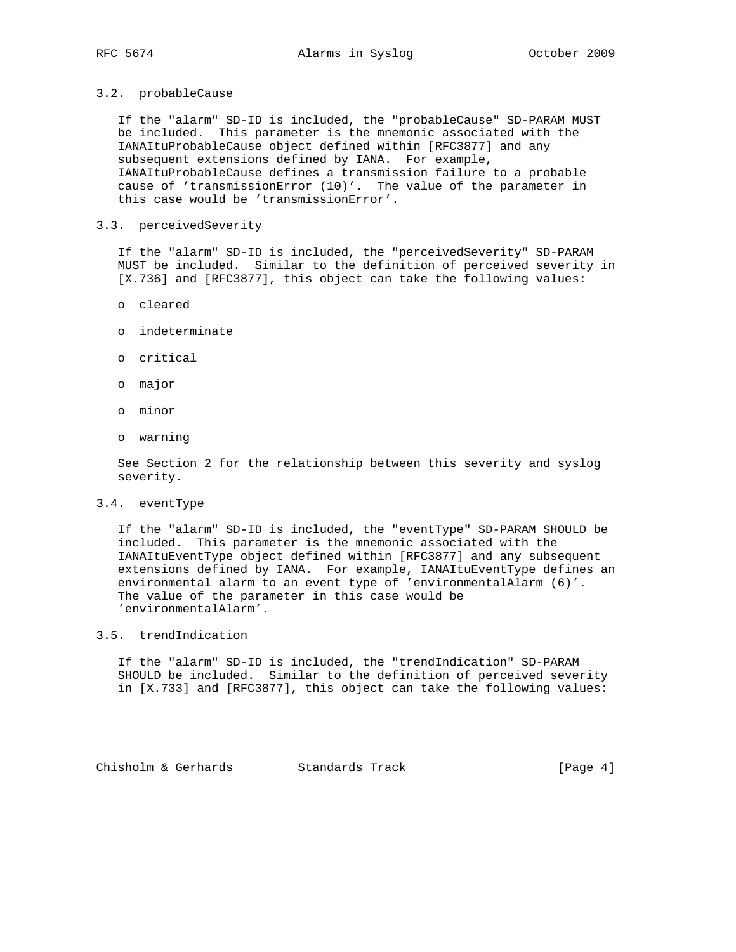## 3.2. probableCause

 If the "alarm" SD-ID is included, the "probableCause" SD-PARAM MUST be included. This parameter is the mnemonic associated with the IANAItuProbableCause object defined within [RFC3877] and any subsequent extensions defined by IANA. For example, IANAItuProbableCause defines a transmission failure to a probable cause of 'transmissionError (10)'. The value of the parameter in this case would be 'transmissionError'.

### 3.3. perceivedSeverity

 If the "alarm" SD-ID is included, the "perceivedSeverity" SD-PARAM MUST be included. Similar to the definition of perceived severity in [X.736] and [RFC3877], this object can take the following values:

- o cleared
- o indeterminate
- o critical
- o major
- o minor
- o warning

 See Section 2 for the relationship between this severity and syslog severity.

#### 3.4. eventType

 If the "alarm" SD-ID is included, the "eventType" SD-PARAM SHOULD be included. This parameter is the mnemonic associated with the IANAItuEventType object defined within [RFC3877] and any subsequent extensions defined by IANA. For example, IANAItuEventType defines an environmental alarm to an event type of 'environmentalAlarm (6)'. The value of the parameter in this case would be 'environmentalAlarm'.

### 3.5. trendIndication

 If the "alarm" SD-ID is included, the "trendIndication" SD-PARAM SHOULD be included. Similar to the definition of perceived severity in [X.733] and [RFC3877], this object can take the following values:

Chisholm & Gerhards Standards Track (Page 4)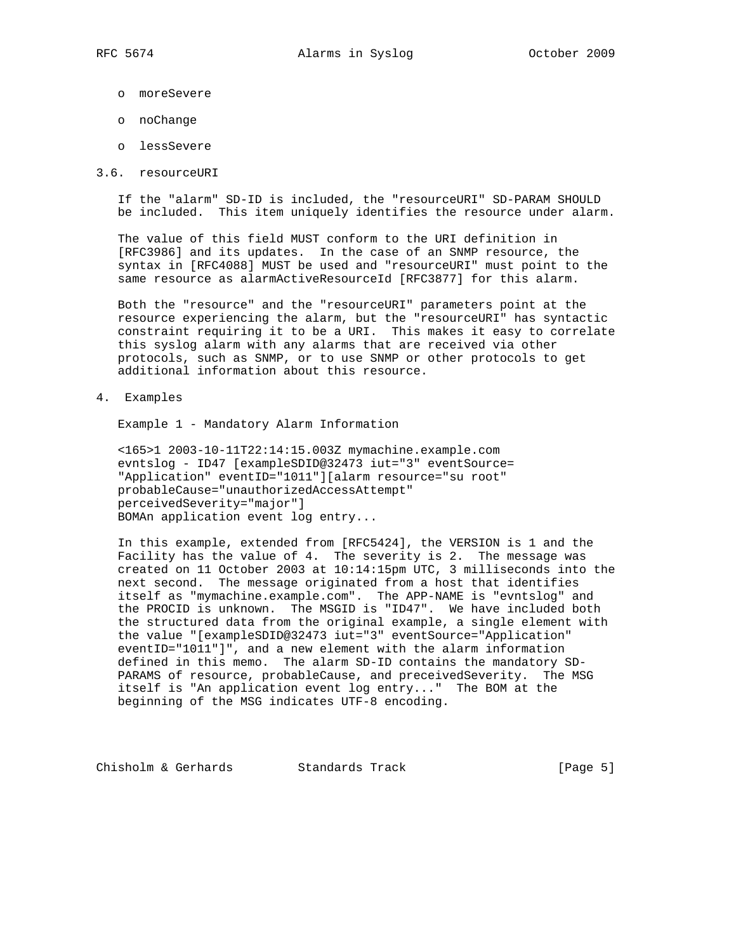- o moreSevere
- o noChange
- o lessSevere
- 3.6. resourceURI

 If the "alarm" SD-ID is included, the "resourceURI" SD-PARAM SHOULD be included. This item uniquely identifies the resource under alarm.

 The value of this field MUST conform to the URI definition in [RFC3986] and its updates. In the case of an SNMP resource, the syntax in [RFC4088] MUST be used and "resourceURI" must point to the same resource as alarmActiveResourceId [RFC3877] for this alarm.

 Both the "resource" and the "resourceURI" parameters point at the resource experiencing the alarm, but the "resourceURI" has syntactic constraint requiring it to be a URI. This makes it easy to correlate this syslog alarm with any alarms that are received via other protocols, such as SNMP, or to use SNMP or other protocols to get additional information about this resource.

4. Examples

Example 1 - Mandatory Alarm Information

 <165>1 2003-10-11T22:14:15.003Z mymachine.example.com evntslog - ID47 [exampleSDID@32473 iut="3" eventSource= "Application" eventID="1011"][alarm resource="su root" probableCause="unauthorizedAccessAttempt" perceivedSeverity="major"] BOMAn application event log entry...

 In this example, extended from [RFC5424], the VERSION is 1 and the Facility has the value of 4. The severity is 2. The message was created on 11 October 2003 at 10:14:15pm UTC, 3 milliseconds into the next second. The message originated from a host that identifies itself as "mymachine.example.com". The APP-NAME is "evntslog" and the PROCID is unknown. The MSGID is "ID47". We have included both the structured data from the original example, a single element with the value "[exampleSDID@32473 iut="3" eventSource="Application" eventID="1011"]", and a new element with the alarm information defined in this memo. The alarm SD-ID contains the mandatory SD- PARAMS of resource, probableCause, and preceivedSeverity. The MSG itself is "An application event log entry..." The BOM at the beginning of the MSG indicates UTF-8 encoding.

Chisholm & Gerhards Standards Track [Page 5]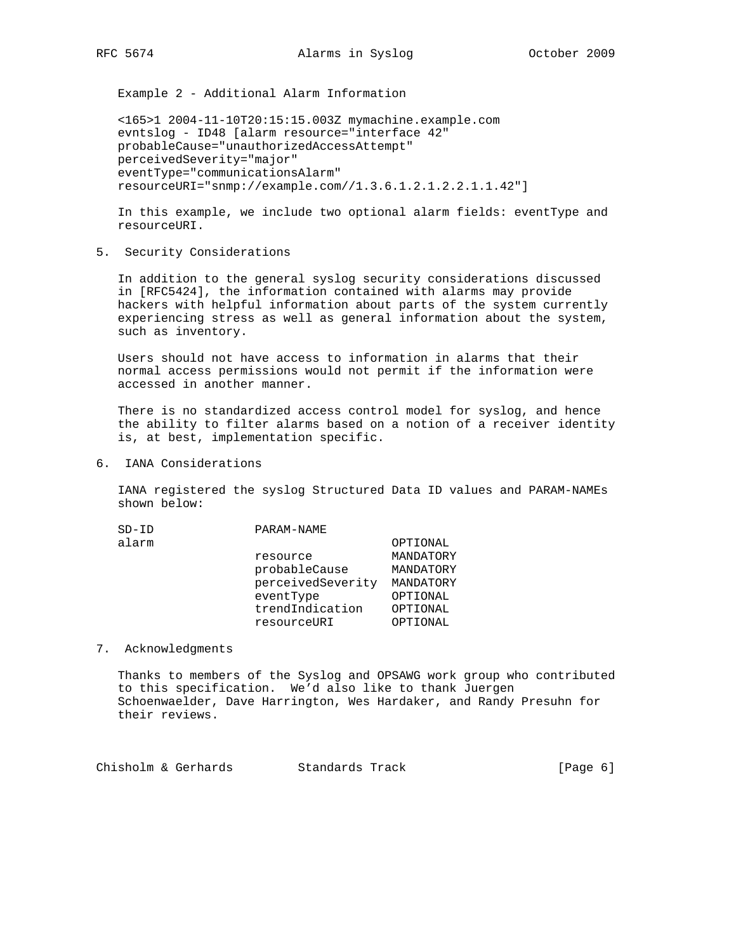Example 2 - Additional Alarm Information

 <165>1 2004-11-10T20:15:15.003Z mymachine.example.com evntslog - ID48 [alarm resource="interface 42" probableCause="unauthorizedAccessAttempt" perceivedSeverity="major" eventType="communicationsAlarm" resourceURI="snmp://example.com//1.3.6.1.2.1.2.2.1.1.42"]

 In this example, we include two optional alarm fields: eventType and resourceURI.

5. Security Considerations

 In addition to the general syslog security considerations discussed in [RFC5424], the information contained with alarms may provide hackers with helpful information about parts of the system currently experiencing stress as well as general information about the system, such as inventory.

 Users should not have access to information in alarms that their normal access permissions would not permit if the information were accessed in another manner.

 There is no standardized access control model for syslog, and hence the ability to filter alarms based on a notion of a receiver identity is, at best, implementation specific.

6. IANA Considerations

 IANA registered the syslog Structured Data ID values and PARAM-NAMEs shown below:

| $SD-ID$ | PARAM-NAME        |           |
|---------|-------------------|-----------|
| alarm   |                   | OPTIONAL  |
|         | resource          | MANDATORY |
|         | probableCause     | MANDATORY |
|         | perceivedSeverity | MANDATORY |
|         | eventType         | OPTIONAL  |
|         | trendIndication   | OPTIONAL  |
|         | resourceURI       | OPTIONAL  |
|         |                   |           |

### 7. Acknowledgments

 Thanks to members of the Syslog and OPSAWG work group who contributed to this specification. We'd also like to thank Juergen Schoenwaelder, Dave Harrington, Wes Hardaker, and Randy Presuhn for their reviews.

Chisholm & Gerhards Standards Track (Page 6)